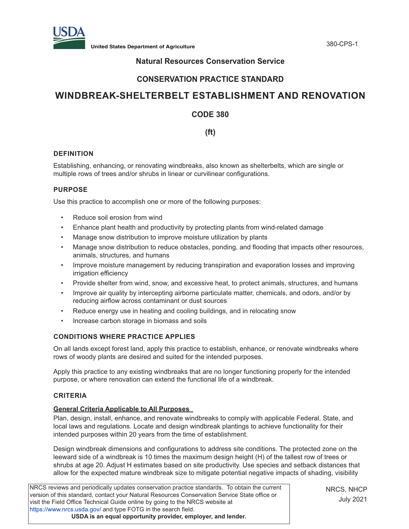

# **Natural Resources Conservation Service**

# **CONSERVATION PRACTICE STANDARD**

# **WINDBREAK-SHELTERBELT ESTABLISHMENT AND RENOVATION**

# **CODE 380**

**(ft)**

### **DEFINITION**

Establishing, enhancing, or renovating windbreaks, also known as shelterbelts, which are single or multiple rows of trees and/or shrubs in linear or curvilinear configurations.

### **PURPOSE**

Use this practice to accomplish one or more of the following purposes:

- Reduce soil erosion from wind
- Enhance plant health and productivity by protecting plants from wind-related damage
- Manage snow distribution to improve moisture utilization by plants
- Manage snow distribution to reduce obstacles, ponding, and flooding that impacts other resources, animals, structures, and humans
- Improve moisture management by reducing transpiration and evaporation losses and improving irrigation efficiency
- Provide shelter from wind, snow, and excessive heat, to protect animals, structures, and humans
- Improve air quality by intercepting airborne particulate matter, chemicals, and odors, and/or by reducing airflow across contaminant or dust sources
- Reduce energy use in heating and cooling buildings, and in relocating snow
- Increase carbon storage in biomass and soils

## **CONDITIONS WHERE PRACTICE APPLIES**

On all lands except forest land, apply this practice to establish, enhance, or renovate windbreaks where rows of woody plants are desired and suited for the intended purposes.

Apply this practice to any existing windbreaks that are no longer functioning properly for the intended purpose, or where renovation can extend the functional life of a windbreak.

#### **CRITERIA**

#### **General Criteria Applicable to All Purposes**

Plan, design, install, enhance, and renovate windbreaks to comply with applicable Federal, State, and local laws and regulations. Locate and design windbreak plantings to achieve functionality for their intended purposes within 20 years from the time of establishment.

Design windbreak dimensions and configurations to address site conditions. The protected zone on the leeward side of a windbreak is 10 times the maximum design height (H) of the tallest row of trees or shrubs at age 20. Adjust H estimates based on site productivity. Use species and setback distances that allow for the expected mature windbreak size to mitigate potential negative impacts of shading, visibility

NRCS reviews and periodically updates conservation practice standards. To obtain the current version of this standard, contact your Natural Resources Conservation Service State office or visit the Field Office Technical Guide online by going to the NRCS website at <https://www.nrcs.usda.gov/>and type FOTG in the search field. **USDA is an equal opportunity provider, employer, and lender.**

NRCS, NHCP July 2021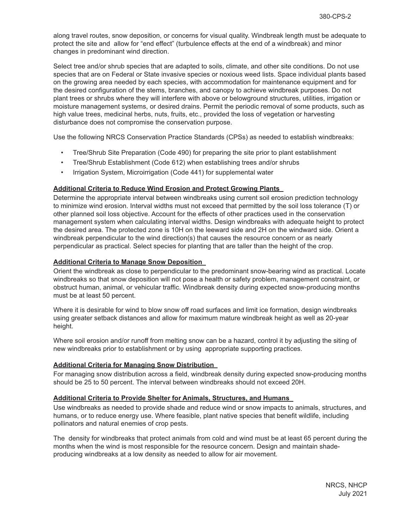along travel routes, snow deposition, or concerns for visual quality. Windbreak length must be adequate to protect the site and allow for "end effect" (turbulence effects at the end of a windbreak) and minor changes in predominant wind direction.

Select tree and/or shrub species that are adapted to soils, climate, and other site conditions. Do not use species that are on Federal or State invasive species or noxious weed lists. Space individual plants based on the growing area needed by each species, with accommodation for maintenance equipment and for the desired configuration of the stems, branches, and canopy to achieve windbreak purposes. Do not plant trees or shrubs where they will interfere with above or belowground structures, utilities, irrigation or moisture management systems, or desired drains. Permit the periodic removal of some products, such as high value trees, medicinal herbs, nuts, fruits, etc., provided the loss of vegetation or harvesting disturbance does not compromise the conservation purpose.

Use the following NRCS Conservation Practice Standards (CPSs) as needed to establish windbreaks:

- Tree/Shrub Site Preparation (Code 490) for preparing the site prior to plant establishment
- Tree/Shrub Establishment (Code 612) when establishing trees and/or shrubs
- Irrigation System, Microirrigation (Code 441) for supplemental water

#### **Additional Criteria to Reduce Wind Erosion and Protect Growing Plants**

Determine the appropriate interval between windbreaks using current soil erosion prediction technology to minimize wind erosion. Interval widths must not exceed that permitted by the soil loss tolerance (T) or other planned soil loss objective. Account for the effects of other practices used in the conservation management system when calculating interval widths. Design windbreaks with adequate height to protect the desired area. The protected zone is 10H on the leeward side and 2H on the windward side. Orient a windbreak perpendicular to the wind direction(s) that causes the resource concern or as nearly perpendicular as practical. Select species for planting that are taller than the height of the crop.

#### **Additional Criteria to Manage Snow Deposition**

Orient the windbreak as close to perpendicular to the predominant snow-bearing wind as practical. Locate windbreaks so that snow deposition will not pose a health or safety problem, management constraint, or obstruct human, animal, or vehicular traffic. Windbreak density during expected snow-producing months must be at least 50 percent.

Where it is desirable for wind to blow snow off road surfaces and limit ice formation, design windbreaks using greater setback distances and allow for maximum mature windbreak height as well as 20-year height.

Where soil erosion and/or runoff from melting snow can be a hazard, control it by adjusting the siting of new windbreaks prior to establishment or by using appropriate supporting practices.

#### **Additional Criteria for Managing Snow Distribution**

For managing snow distribution across a field, windbreak density during expected snow-producing months should be 25 to 50 percent. The interval between windbreaks should not exceed 20H.

#### **Additional Criteria to Provide Shelter for Animals, Structures, and Humans**

Use windbreaks as needed to provide shade and reduce wind or snow impacts to animals, structures, and humans, or to reduce energy use. Where feasible, plant native species that benefit wildlife, including pollinators and natural enemies of crop pests.

The density for windbreaks that protect animals from cold and wind must be at least 65 percent during the months when the wind is most responsible for the resource concern. Design and maintain shadeproducing windbreaks at a low density as needed to allow for air movement.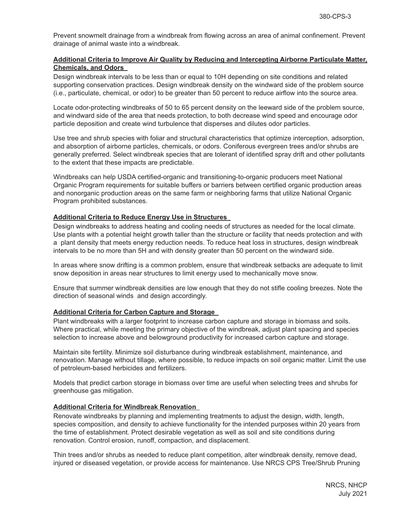Prevent snowmelt drainage from a windbreak from flowing across an area of animal confinement. Prevent drainage of animal waste into a windbreak.

#### **Additional Criteria to Improve Air Quality by Reducing and Intercepting Airborne Particulate Matter, Chemicals, and Odors**

Design windbreak intervals to be less than or equal to 10H depending on site conditions and related supporting conservation practices. Design windbreak density on the windward side of the problem source (i.e., particulate, chemical, or odor) to be greater than 50 percent to reduce airflow into the source area.

Locate odor-protecting windbreaks of 50 to 65 percent density on the leeward side of the problem source, and windward side of the area that needs protection, to both decrease wind speed and encourage odor particle deposition and create wind turbulence that disperses and dilutes odor particles.

Use tree and shrub species with foliar and structural characteristics that optimize interception, adsorption, and absorption of airborne particles, chemicals, or odors. Coniferous evergreen trees and/or shrubs are generally preferred. Select windbreak species that are tolerant of identified spray drift and other pollutants to the extent that these impacts are predictable.

Windbreaks can help USDA certified-organic and transitioning-to-organic producers meet National Organic Program requirements for suitable buffers or barriers between certified organic production areas and nonorganic production areas on the same farm or neighboring farms that utilize National Organic Program prohibited substances.

#### **Additional Criteria to Reduce Energy Use in Structures**

Design windbreaks to address heating and cooling needs of structures as needed for the local climate. Use plants with a potential height growth taller than the structure or facility that needs protection and with a plant density that meets energy reduction needs. To reduce heat loss in structures, design windbreak intervals to be no more than 5H and with density greater than 50 percent on the windward side.

In areas where snow drifting is a common problem, ensure that windbreak setbacks are adequate to limit snow deposition in areas near structures to limit energy used to mechanically move snow.

Ensure that summer windbreak densities are low enough that they do not stifle cooling breezes. Note the direction of seasonal winds and design accordingly.

#### **Additional Criteria for Carbon Capture and Storage**

Plant windbreaks with a larger footprint to increase carbon capture and storage in biomass and soils. Where practical, while meeting the primary objective of the windbreak, adjust plant spacing and species selection to increase above and belowground productivity for increased carbon capture and storage.

Maintain site fertility. Minimize soil disturbance during windbreak establishment, maintenance, and renovation. Manage without tillage, where possible, to reduce impacts on soil organic matter. Limit the use of petroleum-based herbicides and fertilizers.

Models that predict carbon storage in biomass over time are useful when selecting trees and shrubs for greenhouse gas mitigation.

#### **Additional Criteria for Windbreak Renovation**

Renovate windbreaks by planning and implementing treatments to adjust the design, width, length, species composition, and density to achieve functionality for the intended purposes within 20 years from the time of establishment. Protect desirable vegetation as well as soil and site conditions during renovation. Control erosion, runoff, compaction, and displacement.

Thin trees and/or shrubs as needed to reduce plant competition, alter windbreak density, remove dead, injured or diseased vegetation, or provide access for maintenance. Use NRCS CPS Tree/Shrub Pruning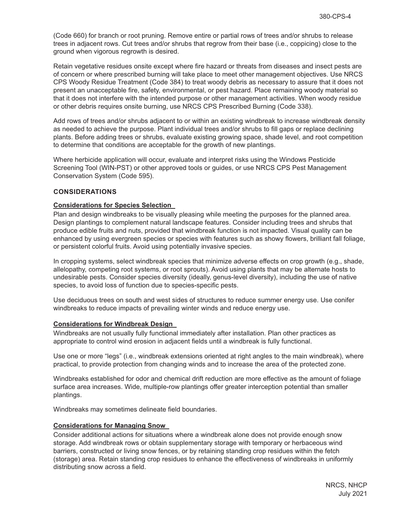(Code 660) for branch or root pruning. Remove entire or partial rows of trees and/or shrubs to release trees in adjacent rows. Cut trees and/or shrubs that regrow from their base (i.e., coppicing) close to the ground when vigorous regrowth is desired.

Retain vegetative residues onsite except where fire hazard or threats from diseases and insect pests are of concern or where prescribed burning will take place to meet other management objectives. Use NRCS CPS Woody Residue Treatment (Code 384) to treat woody debris as necessary to assure that it does not present an unacceptable fire, safety, environmental, or pest hazard. Place remaining woody material so that it does not interfere with the intended purpose or other management activities. When woody residue or other debris requires onsite burning, use NRCS CPS Prescribed Burning (Code 338).

Add rows of trees and/or shrubs adjacent to or within an existing windbreak to increase windbreak density as needed to achieve the purpose. Plant individual trees and/or shrubs to fill gaps or replace declining plants. Before adding trees or shrubs, evaluate existing growing space, shade level, and root competition to determine that conditions are acceptable for the growth of new plantings.

Where herbicide application will occur, evaluate and interpret risks using the Windows Pesticide Screening Tool (WIN-PST) or other approved tools or guides, or use NRCS CPS Pest Management Conservation System (Code 595).

#### **CONSIDERATIONS**

#### **Considerations for Species Selection**

Plan and design windbreaks to be visually pleasing while meeting the purposes for the planned area. Design plantings to complement natural landscape features. Consider including trees and shrubs that produce edible fruits and nuts, provided that windbreak function is not impacted. Visual quality can be enhanced by using evergreen species or species with features such as showy flowers, brilliant fall foliage, or persistent colorful fruits. Avoid using potentially invasive species.

In cropping systems, select windbreak species that minimize adverse effects on crop growth (e.g., shade, allelopathy, competing root systems, or root sprouts). Avoid using plants that may be alternate hosts to undesirable pests. Consider species diversity (ideally, genus-level diversity), including the use of native species, to avoid loss of function due to species-specific pests.

Use deciduous trees on south and west sides of structures to reduce summer energy use. Use conifer windbreaks to reduce impacts of prevailing winter winds and reduce energy use.

#### **Considerations for Windbreak Design**

Windbreaks are not usually fully functional immediately after installation. Plan other practices as appropriate to control wind erosion in adjacent fields until a windbreak is fully functional.

Use one or more "legs" (i.e., windbreak extensions oriented at right angles to the main windbreak), where practical, to provide protection from changing winds and to increase the area of the protected zone.

Windbreaks established for odor and chemical drift reduction are more effective as the amount of foliage surface area increases. Wide, multiple-row plantings offer greater interception potential than smaller plantings.

Windbreaks may sometimes delineate field boundaries.

#### **Considerations for Managing Snow**

Consider additional actions for situations where a windbreak alone does not provide enough snow storage. Add windbreak rows or obtain supplementary storage with temporary or herbaceous wind barriers, constructed or living snow fences, or by retaining standing crop residues within the fetch (storage) area. Retain standing crop residues to enhance the effectiveness of windbreaks in uniformly distributing snow across a field.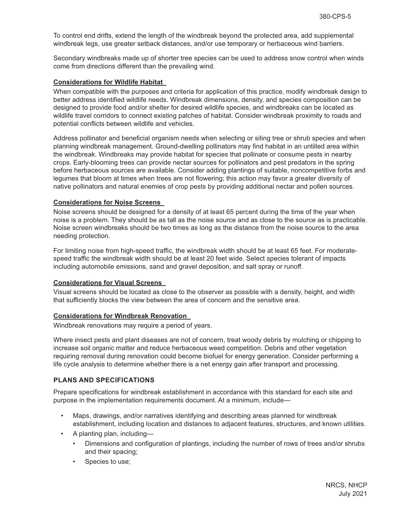To control end drifts, extend the length of the windbreak beyond the protected area, add supplemental windbreak legs, use greater setback distances, and/or use temporary or herbaceous wind barriers.

Secondary windbreaks made up of shorter tree species can be used to address snow control when winds come from directions different than the prevailing wind.

#### **Considerations for Wildlife Habitat**

When compatible with the purposes and criteria for application of this practice, modify windbreak design to better address identified wildlife needs. Windbreak dimensions, density, and species composition can be designed to provide food and/or shelter for desired wildlife species, and windbreaks can be located as wildlife travel corridors to connect existing patches of habitat. Consider windbreak proximity to roads and potential conflicts between wildlife and vehicles.

Address pollinator and beneficial organism needs when selecting or siting tree or shrub species and when planning windbreak management. Ground-dwelling pollinators may find habitat in an untilled area within the windbreak. Windbreaks may provide habitat for species that pollinate or consume pests in nearby crops. Early-blooming trees can provide nectar sources for pollinators and pest predators in the spring before herbaceous sources are available. Consider adding plantings of suitable, noncompetitive forbs and legumes that bloom at times when trees are not flowering; this action may favor a greater diversity of native pollinators and natural enemies of crop pests by providing additional nectar and pollen sources.

#### **Considerations for Noise Screens**

Noise screens should be designed for a density of at least 65 percent during the time of the year when noise is a problem. They should be as tall as the noise source and as close to the source as is practicable. Noise screen windbreaks should be two times as long as the distance from the noise source to the area needing protection.

For limiting noise from high-speed traffic, the windbreak width should be at least 65 feet. For moderatespeed traffic the windbreak width should be at least 20 feet wide. Select species tolerant of impacts including automobile emissions, sand and gravel deposition, and salt spray or runoff.

#### **Considerations for Visual Screens**

Visual screens should be located as close to the observer as possible with a density, height, and width that sufficiently blocks the view between the area of concern and the sensitive area.

#### **Considerations for Windbreak Renovation**

Windbreak renovations may require a period of years.

Where insect pests and plant diseases are not of concern, treat woody debris by mulching or chipping to increase soil organic matter and reduce herbaceous weed competition. Debris and other vegetation requiring removal during renovation could become biofuel for energy generation. Consider performing a life cycle analysis to determine whether there is a net energy gain after transport and processing.

#### **PLANS AND SPECIFICATIONS**

Prepare specifications for windbreak establishment in accordance with this standard for each site and purpose in the implementation requirements document. At a minimum, include—

- Maps, drawings, and/or narratives identifying and describing areas planned for windbreak establishment, including location and distances to adjacent features, structures, and known utilities.
- A planting plan, including—
	- Dimensions and configuration of plantings, including the number of rows of trees and/or shrubs and their spacing;
	- Species to use;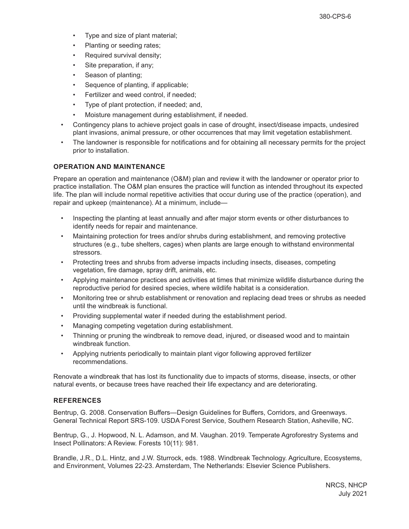- Type and size of plant material;
- Planting or seeding rates;
- Required survival density;
- Site preparation, if any;
- Season of planting;
- Sequence of planting, if applicable;
- Fertilizer and weed control, if needed;
- Type of plant protection, if needed; and,
- Moisture management during establishment, if needed.
- Contingency plans to achieve project goals in case of drought, insect/disease impacts, undesired plant invasions, animal pressure, or other occurrences that may limit vegetation establishment.
- The landowner is responsible for notifications and for obtaining all necessary permits for the project prior to installation.

## **OPERATION AND MAINTENANCE**

Prepare an operation and maintenance (O&M) plan and review it with the landowner or operator prior to practice installation. The O&M plan ensures the practice will function as intended throughout its expected life. The plan will include normal repetitive activities that occur during use of the practice (operation), and repair and upkeep (maintenance). At a minimum, include—

- Inspecting the planting at least annually and after major storm events or other disturbances to identify needs for repair and maintenance.
- Maintaining protection for trees and/or shrubs during establishment, and removing protective structures (e.g., tube shelters, cages) when plants are large enough to withstand environmental stressors.
- Protecting trees and shrubs from adverse impacts including insects, diseases, competing vegetation, fire damage, spray drift, animals, etc.
- Applying maintenance practices and activities at times that minimize wildlife disturbance during the reproductive period for desired species, where wildlife habitat is a consideration.
- Monitoring tree or shrub establishment or renovation and replacing dead trees or shrubs as needed until the windbreak is functional.
- Providing supplemental water if needed during the establishment period.
- Managing competing vegetation during establishment.
- Thinning or pruning the windbreak to remove dead, injured, or diseased wood and to maintain windbreak function.
- Applying nutrients periodically to maintain plant vigor following approved fertilizer recommendations.

Renovate a windbreak that has lost its functionality due to impacts of storms, disease, insects, or other natural events, or because trees have reached their life expectancy and are deteriorating.

## **REFERENCES**

Bentrup, G. 2008. Conservation Buffers—Design Guidelines for Buffers, Corridors, and Greenways. General Technical Report SRS-109. USDA Forest Service, Southern Research Station, Asheville, NC.

Bentrup, G., J. Hopwood, N. L. Adamson, and M. Vaughan. 2019. Temperate Agroforestry Systems and Insect Pollinators: A Review. Forests 10(11): 981.

Brandle, J.R., D.L. Hintz, and J.W. Sturrock, eds. 1988. Windbreak Technology. Agriculture, Ecosystems, and Environment, Volumes 22-23. Amsterdam, The Netherlands: Elsevier Science Publishers.